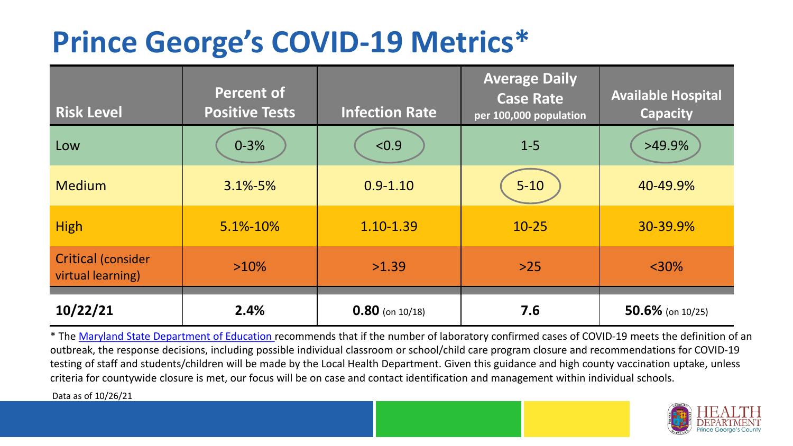## **Prince George's COVID-19 Metrics\***

| <b>Risk Level</b>                              | <b>Percent of</b><br><b>Positive Tests</b> | <b>Infection Rate</b> | <b>Average Daily</b><br><b>Case Rate</b><br>per 100,000 population | <b>Available Hospital</b><br><b>Capacity</b> |
|------------------------------------------------|--------------------------------------------|-----------------------|--------------------------------------------------------------------|----------------------------------------------|
| Low                                            | $0 - 3%$                                   | < 0.9                 | $1 - 5$                                                            | $>49.9\%$                                    |
| <b>Medium</b>                                  | $3.1\% - 5\%$                              | $0.9 - 1.10$          | $5 - 10$                                                           | 40-49.9%                                     |
| <b>High</b>                                    | 5.1%-10%                                   | 1.10-1.39             | $10 - 25$                                                          | 30-39.9%                                     |
| <b>Critical (consider</b><br>virtual learning) | $>10\%$                                    | >1.39                 | $>25$                                                              | $<$ 30%                                      |
| 10/22/21                                       | 2.4%                                       | $0.80$ (on 10/18)     | 7.6                                                                | $50.6\%$ (on 10/25)                          |

\* The [Maryland State Department of Education r](https://earlychildhood.marylandpublicschools.org/system/files/filedepot/3/covid_guidance_full_080420.pdf)ecommends that if the number of laboratory confirmed cases of COVID-19 meets the definition of an outbreak, the response decisions, including possible individual classroom or school/child care program closure and recommendations for COVID-19 testing of staff and students/children will be made by the Local Health Department. Given this guidance and high county vaccination uptake, unless criteria for countywide closure is met, our focus will be on case and contact identification and management within individual schools.

Data as of 10/26/21

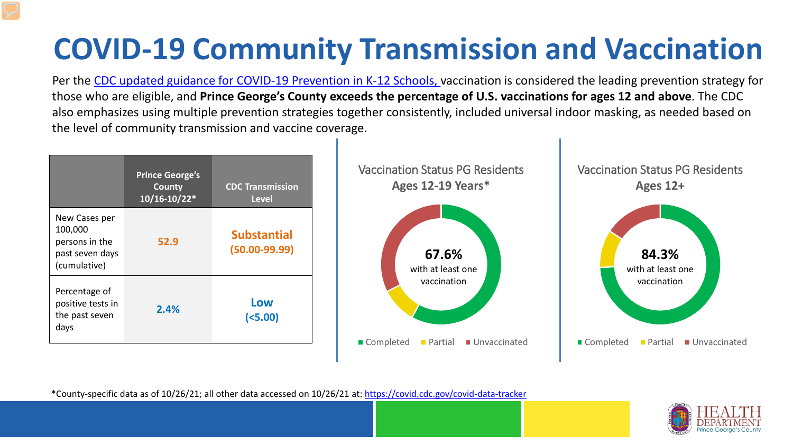# **COVID-19 Community Transmission and Vaccination**

Per the [CDC updated guidance for COVID-19 Prevention in K-12 Schools,](https://www.cdc.gov/coronavirus/2019-ncov/community/schools-childcare/k-12-guidance.html) vaccination is considered the leading prevention strategy for those who are eligible, and **Prince George's County exceeds the percentage of U.S. vaccinations for ages 12 and above**. The CDC also emphasizes using multiple prevention strategies together consistently, included universal indoor masking, as needed based on the level of community transmission and vaccine coverage.



\*County-specific data as of 10/26/21; all other data accessed on 10/26/21 at:<https://covid.cdc.gov/covid-data-tracker>

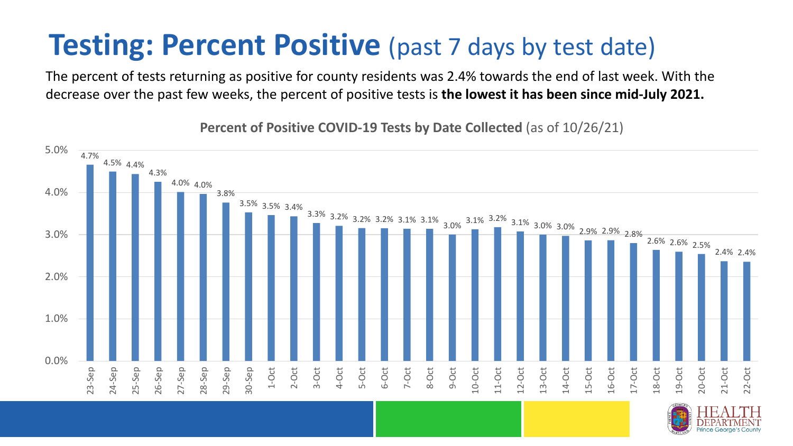### **Testing: Percent Positive** (past 7 days by test date)

The percent of tests returning as positive for county residents was 2.4% towards the end of last week. With the decrease over the past few weeks, the percent of positive tests is **the lowest it has been since mid-July 2021.** 

4.7% 4.5% 4.4% 4.3% 4.0% 4.0% 3.8% 3.5% 3.5% 3.4%  $\frac{3.3\%}{-}$  3.2% 3.2% 3.2% 3.1% 3.1% 3.1% 3.2% 3.1% 3.0% 3.0% 2.9% 2.9% 2.8% 2.6% 2.6% 2.5% 2.4% 2.4% 0.0% 1.0% 2.0% 3.0% 4.0% 5.0% 23-Sep 24-Sep 25-Sep 26-Sep 27-Sep 28-Sep 29-Sep 30-Sep 1-Oct 2-Oct 3-Oct 4-Oct 5-Oct 6-Oct 7-Oct 8-Oct 9-Oct 10-Oct 11-Oct 12-Oct 13-Oct 14-Oct 15-Oct 16-Oct 17-Oct 18-Oct 19-Oct 20-Oct 21-Oct 22-Oct

**Percent of Positive COVID-19 Tests by Date Collected** (as of 10/26/21)

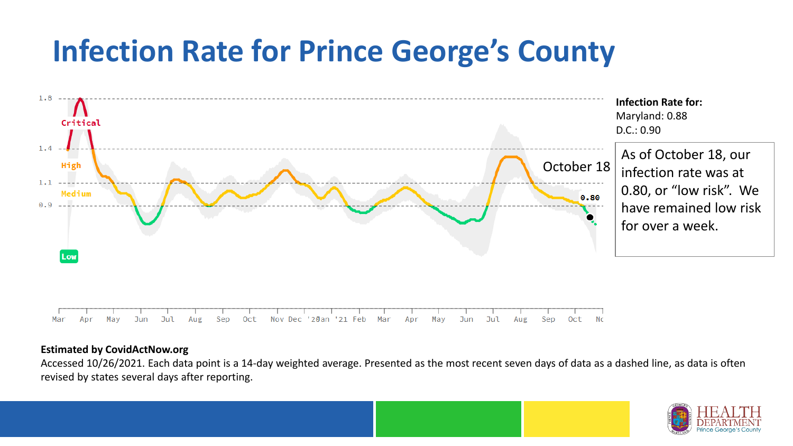## **Infection Rate for Prince George's County**



#### **Estimated by CovidActNow.org**

Accessed 10/26/2021. Each data point is a 14-day weighted average. Presented as the most recent seven days of data as a dashed line, as data is often revised by states several days after reporting.

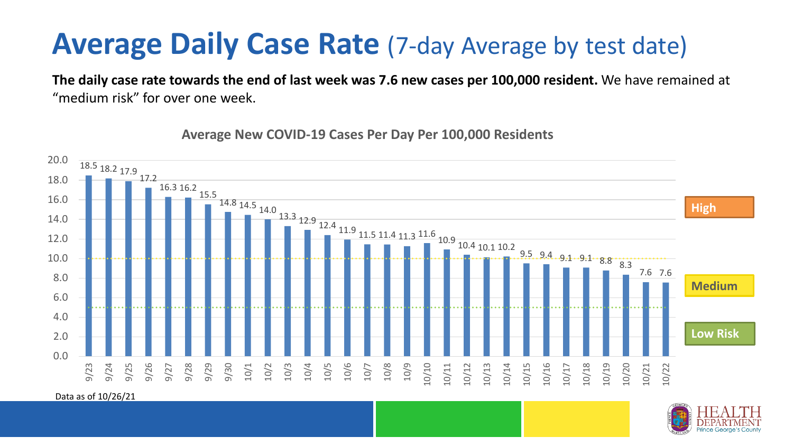### **Average Daily Case Rate** (7-day Average by test date)

**The daily case rate towards the end of last week was 7.6 new cases per 100,000 resident.** We have remained at "medium risk" for over one week.



**Average New COVID-19 Cases Per Day Per 100,000 Residents**

Data as of 10/26/21